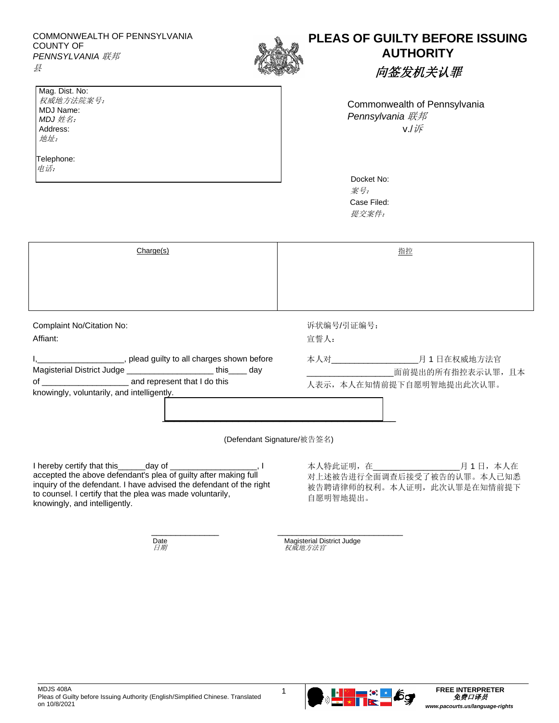| COMMONWEALTH OF PENNSYLVANIA<br>COUNTY OF<br><b>PENNSYLVANIA 联邦</b> |  | <b>PLEAS OF G</b> |  |
|---------------------------------------------------------------------|--|-------------------|--|
| Mag. Dist. No:                                                      |  |                   |  |

## **PUILTY BEFORE ISSUING AUTHORITY**

向签发机关认罪

Commonwealth of Pennsylvania *Pennsylvania* 联邦 v./诉

| Docket No:  |  |  |
|-------------|--|--|
| 案号:         |  |  |
| Case Filed: |  |  |
| 提交案件:       |  |  |

|                                                                                                                   | 柔 歹:<br>Case Filed:<br>提交案件:                                                    |  |
|-------------------------------------------------------------------------------------------------------------------|---------------------------------------------------------------------------------|--|
| Charge(s)                                                                                                         | 指控                                                                              |  |
|                                                                                                                   |                                                                                 |  |
|                                                                                                                   |                                                                                 |  |
| Complaint No/Citation No:                                                                                         | 诉状编号/引证编号:                                                                      |  |
| Affiant:                                                                                                          | 宣誓人:                                                                            |  |
| ____, plead guilty to all charges shown before<br>Magisterial District Judge ___________________________ this day | ______月1日在权威地方法官<br>本人对______<br>面前提出的所有指控表示认罪, 且本<br>人表示, 本人在知情前提下自愿明智地提出此次认罪。 |  |

knowingly, voluntarily, and intelligently.

权威地方法院案号: MDJ Name: *MDJ* 姓名: Address: 地址:

Telephone: 电话:

(Defendant Signature/被告签名)

\_\_\_\_\_\_\_\_\_\_\_\_\_\_ \_\_\_\_\_\_\_\_\_\_\_\_\_\_\_\_\_\_\_\_\_\_\_\_\_\_

 $\overline{\phantom{a}}$  , and the set of the set of the set of the set of the set of the set of the set of the set of the set of the set of the set of the set of the set of the set of the set of the set of the set of the set of the s

I hereby certify that this day of  $\qquad \qquad$ . accepted the above defendant's plea of guilty after making full inquiry of the defendant. I have advised the defendant of the right to counsel. I certify that the plea was made voluntarily, knowingly, and intelligently.

本人特此证明,在\_\_\_\_\_\_\_\_\_\_\_\_\_\_\_\_\_\_\_月 1 日,本人在 对上述被告进行全面调查后接受了被告的认罪。本人已知悉 被告聘请律师的权利。本人证明,此次认罪是在知情前提下 自愿明智地提出。

Date Magisterial District Judge<br>*日期 权威地方法官*